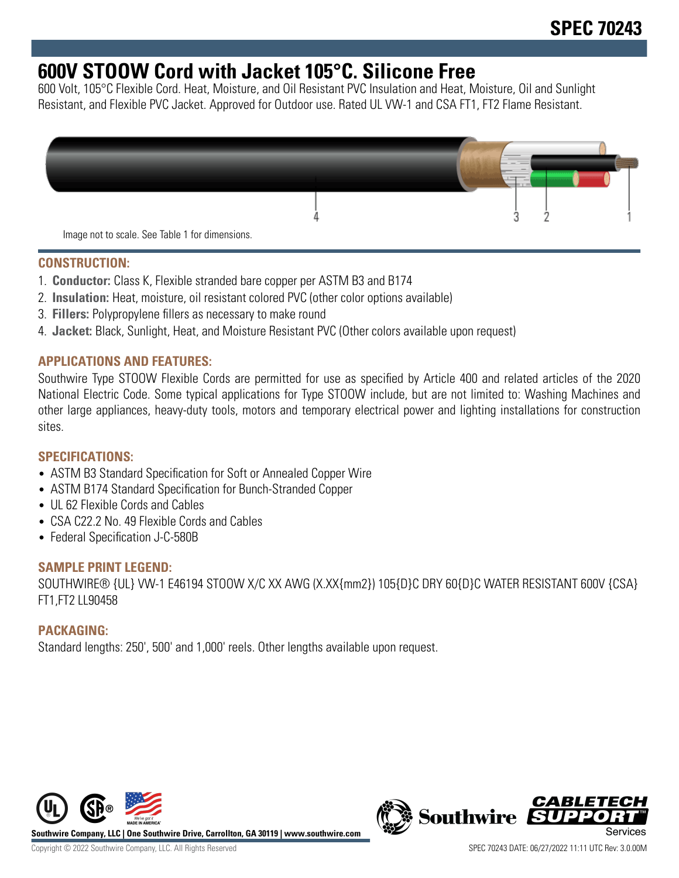# **600V STOOW Cord with Jacket 105°C. Silicone Free**

600 Volt, 105°C Flexible Cord. Heat, Moisture, and Oil Resistant PVC Insulation and Heat, Moisture, Oil and Sunlight Resistant, and Flexible PVC Jacket. Approved for Outdoor use. Rated UL VW-1 and CSA FT1, FT2 Flame Resistant.



## **CONSTRUCTION:**

- 1. **Conductor:** Class K, Flexible stranded bare copper per ASTM B3 and B174
- 2. **Insulation:** Heat, moisture, oil resistant colored PVC (other color options available)
- 3. **Fillers:** Polypropylene fillers as necessary to make round
- 4. **Jacket:** Black, Sunlight, Heat, and Moisture Resistant PVC (Other colors available upon request)

## **APPLICATIONS AND FEATURES:**

Southwire Type STOOW Flexible Cords are permitted for use as specified by Article 400 and related articles of the 2020 National Electric Code. Some typical applications for Type STOOW include, but are not limited to: Washing Machines and other large appliances, heavy-duty tools, motors and temporary electrical power and lighting installations for construction sites.

#### **SPECIFICATIONS:**

- ASTM B3 Standard Specification for Soft or Annealed Copper Wire
- ASTM B174 Standard Specification for Bunch-Stranded Copper
- UL 62 Flexible Cords and Cables
- CSA C22.2 No. 49 Flexible Cords and Cables
- Federal Specification J-C-580B

#### **SAMPLE PRINT LEGEND:**

SOUTHWIRE® {UL} VW-1 E46194 STOOW X/C XX AWG (X.XX{mm2}) 105{D}C DRY 60{D}C WATER RESISTANT 600V {CSA} FT1,FT2 LL90458

## **PACKAGING:**

Standard lengths: 250', 500' and 1,000' reels. Other lengths available upon request.



**Southwire Company, LLC | One Southwire Drive, Carrollton, GA 30119 | www.southwire.com**